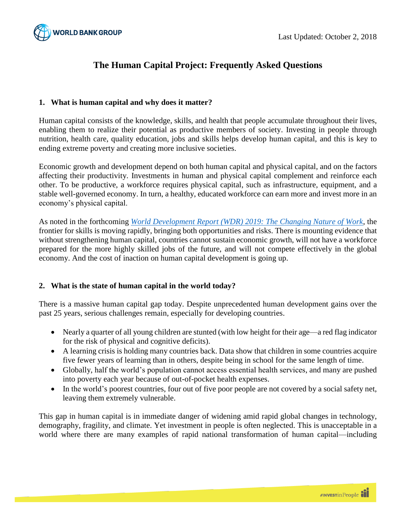

# **The Human Capital Project: Frequently Asked Questions**

## **1. What is human capital and why does it matter?**

Human capital consists of the knowledge, skills, and health that people accumulate throughout their lives, enabling them to realize their potential as productive members of society. Investing in people through nutrition, health care, quality education, jobs and skills helps develop human capital, and this is key to ending extreme poverty and creating more inclusive societies.

Economic growth and development depend on both human capital and physical capital, and on the factors affecting their productivity. Investments in human and physical capital complement and reinforce each other. To be productive, a workforce requires physical capital, such as infrastructure, equipment, and a stable well-governed economy. In turn, a healthy, educated workforce can earn more and invest more in an economy's physical capital.

As noted in the forthcoming *[World Development Report \(WDR\) 2019: The Changing Nature of Work](http://www.worldbank.org/wdr2019)*, the frontier for skills is moving rapidly, bringing both opportunities and risks. There is mounting evidence that without strengthening human capital, countries cannot sustain economic growth, will not have a workforce prepared for the more highly skilled jobs of the future, and will not compete effectively in the global economy. And the cost of inaction on human capital development is going up.

### **2. What is the state of human capital in the world today?**

There is a massive human capital gap today. Despite unprecedented human development gains over the past 25 years, serious challenges remain, especially for developing countries.

- Nearly a quarter of all young children are stunted (with low height for their age—a red flag indicator for the risk of physical and cognitive deficits).
- A learning crisis is holding many countries back. Data show that children in some countries acquire five fewer years of learning than in others, despite being in school for the same length of time.
- Globally, half the world's population cannot access essential health services, and many are pushed into poverty each year because of out-of-pocket health expenses.
- In the world's poorest countries, four out of five poor people are not covered by a social safety net, leaving them extremely vulnerable.

This gap in human capital is in immediate danger of widening amid rapid global changes in technology, demography, fragility, and climate. Yet investment in people is often neglected. This is unacceptable in a world where there are many examples of rapid national transformation of human capital—including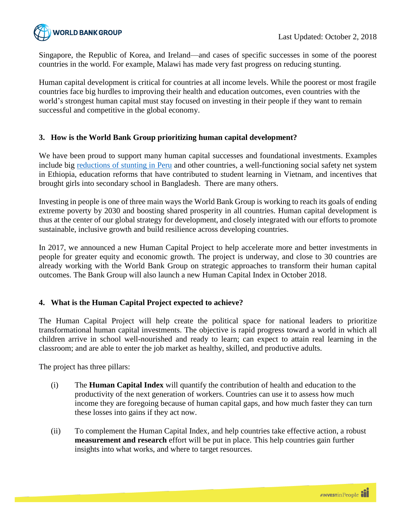

Singapore, the Republic of Korea, and Ireland—and cases of specific successes in some of the poorest countries in the world. For example, Malawi has made very fast progress on reducing stunting.

Human capital development is critical for countries at all income levels. While the poorest or most fragile countries face big hurdles to improving their health and education outcomes, even countries with the world's strongest human capital must stay focused on investing in their people if they want to remain successful and competitive in the global economy.

## **3. How is the World Bank Group prioritizing human capital development?**

We have been proud to support many human capital successes and foundational investments. Examples include big reductions [of stunting in Peru](http://documents.worldbank.org/curated/en/815411500045862444/Standing-tall-Perus-success-in-overcoming-its-stunting-crisis) and other countries, a well-functioning social safety net system in Ethiopia, education reforms that have contributed to student learning in Vietnam, and incentives that brought girls into secondary school in Bangladesh. There are many others.

Investing in people is one of three main ways the World Bank Group is working to reach its goals of ending extreme poverty by 2030 and boosting shared prosperity in all countries. Human capital development is thus at the center of our global strategy for development, and closely integrated with our efforts to promote sustainable, inclusive growth and build resilience across developing countries.

In 2017, we announced a new Human Capital Project to help accelerate more and better investments in people for greater equity and economic growth. The project is underway, and close to 30 countries are already working with the World Bank Group on strategic approaches to transform their human capital outcomes. The Bank Group will also launch a new Human Capital Index in October 2018.

# **4. What is the Human Capital Project expected to achieve?**

The Human Capital Project will help create the political space for national leaders to prioritize transformational human capital investments. The objective is rapid progress toward a world in which all children arrive in school well-nourished and ready to learn; can expect to attain real learning in the classroom; and are able to enter the job market as healthy, skilled, and productive adults.

The project has three pillars:

- (i) The **Human Capital Index** will quantify the contribution of health and education to the productivity of the next generation of workers. Countries can use it to assess how much income they are foregoing because of human capital gaps, and how much faster they can turn these losses into gains if they act now.
- (ii) To complement the Human Capital Index, and help countries take effective action, a robust **measurement and research** effort will be put in place. This help countries gain further insights into what works, and where to target resources.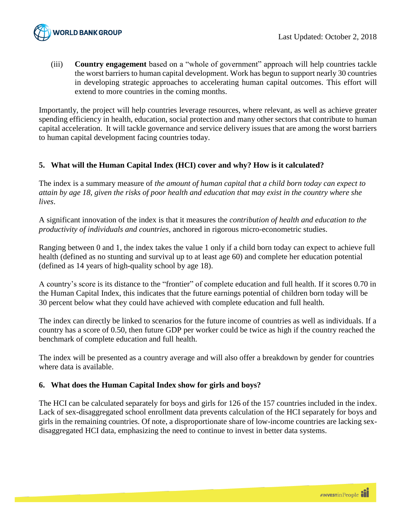

(iii) **Country engagement** based on a "whole of government" approach will help countries tackle the worst barriers to human capital development. Work has begun to support nearly 30 countries in developing strategic approaches to accelerating human capital outcomes. This effort will extend to more countries in the coming months.

Importantly, the project will help countries leverage resources, where relevant, as well as achieve greater spending efficiency in health, education, social protection and many other sectors that contribute to human capital acceleration. It will tackle governance and service delivery issues that are among the worst barriers to human capital development facing countries today.

# **5. What will the Human Capital Index (HCI) cover and why? How is it calculated?**

The index is a summary measure of *the amount of human capital that a child born today can expect to attain by age 18, given the risks of poor health and education that may exist in the country where she lives*.

A significant innovation of the index is that it measures the *contribution of health and education to the productivity of individuals and countries*, anchored in rigorous micro-econometric studies.

Ranging between 0 and 1, the index takes the value 1 only if a child born today can expect to achieve full health (defined as no stunting and survival up to at least age 60) and complete her education potential (defined as 14 years of high-quality school by age 18).

A country's score is its distance to the "frontier" of complete education and full health. If it scores 0.70 in the Human Capital Index, this indicates that the future earnings potential of children born today will be 30 percent below what they could have achieved with complete education and full health.

The index can directly be linked to scenarios for the future income of countries as well as individuals. If a country has a score of 0.50, then future GDP per worker could be twice as high if the country reached the benchmark of complete education and full health.

The index will be presented as a country average and will also offer a breakdown by gender for countries where data is available.

### **6. What does the Human Capital Index show for girls and boys?**

The HCI can be calculated separately for boys and girls for 126 of the 157 countries included in the index. Lack of sex-disaggregated school enrollment data prevents calculation of the HCI separately for boys and girls in the remaining countries. Of note, a disproportionate share of low-income countries are lacking sexdisaggregated HCI data, emphasizing the need to continue to invest in better data systems.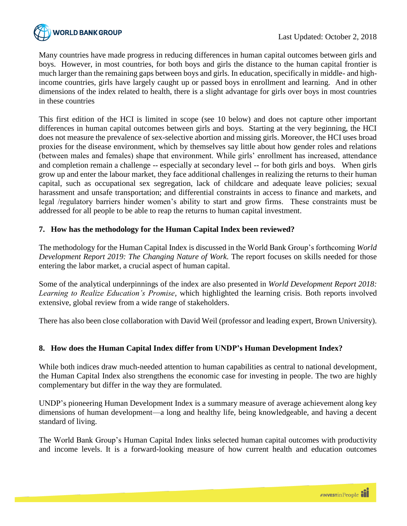

Many countries have made progress in reducing differences in human capital outcomes between girls and boys. However, in most countries, for both boys and girls the distance to the human capital frontier is much larger than the remaining gaps between boys and girls. In education, specifically in middle- and highincome countries, girls have largely caught up or passed boys in enrollment and learning. And in other dimensions of the index related to health, there is a slight advantage for girls over boys in most countries in these countries

This first edition of the HCI is limited in scope (see 10 below) and does not capture other important differences in human capital outcomes between girls and boys. Starting at the very beginning, the HCI does not measure the prevalence of sex-selective abortion and missing girls. Moreover, the HCI uses broad proxies for the disease environment, which by themselves say little about how gender roles and relations (between males and females) shape that environment. While girls' enrollment has increased, attendance and completion remain a challenge -- especially at secondary level -- for both girls and boys. When girls grow up and enter the labour market, they face additional challenges in realizing the returns to their human capital, such as occupational sex segregation, lack of childcare and adequate leave policies; sexual harassment and unsafe transportation; and differential constraints in access to finance and markets, and legal /regulatory barriers hinder women's ability to start and grow firms. These constraints must be addressed for all people to be able to reap the returns to human capital investment.

# **7. How has the methodology for the Human Capital Index been reviewed?**

The methodology for the Human Capital Index is discussed in the World Bank Group's forthcoming *World Development Report 2019: The Changing Nature of Work.* The report focuses on skills needed for those entering the labor market, a crucial aspect of human capital.

Some of the analytical underpinnings of the index are also presented in *World Development Report 2018: Learning to Realize Education's Promise,* which highlighted the learning crisis*.* Both reports involved extensive, global review from a wide range of stakeholders.

There has also been close collaboration with David Weil (professor and leading expert, Brown University).

# **8. How does the Human Capital Index differ from UNDP's Human Development Index?**

While both indices draw much-needed attention to human capabilities as central to national development, the Human Capital Index also strengthens the economic case for investing in people. The two are highly complementary but differ in the way they are formulated.

UNDP's pioneering Human Development Index is a summary measure of average achievement along key dimensions of human development—a long and healthy life, being knowledgeable, and having a decent standard of living.

The World Bank Group's Human Capital Index links selected human capital outcomes with productivity and income levels. It is a forward-looking measure of how current health and education outcomes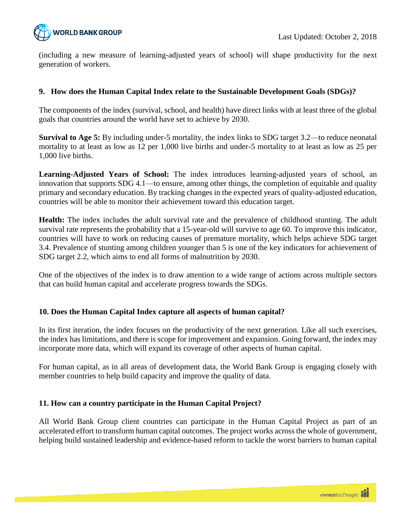

(including a new measure of learning-adjusted years of school) will shape productivity for the next generation of workers.

## **9. How does the Human Capital Index relate to the Sustainable Development Goals (SDGs)?**

The components of the index (survival, school, and health) have direct links with at least three of the global goals that countries around the world have set to achieve by 2030.

**Survival to Age 5:** By including under-5 mortality, the index links to SDG target 3.2—to reduce neonatal mortality to at least as low as 12 per 1,000 live births and under-5 mortality to at least as low as 25 per 1,000 live births.

**Learning-Adjusted Years of School:** The index introduces learning-adjusted years of school, an innovation that supports SDG 4.1—to ensure, among other things, the completion of equitable and quality primary and secondary education. By tracking changes in the expected years of quality-adjusted education, countries will be able to monitor their achievement toward this education target.

**Health:** The index includes the adult survival rate and the prevalence of childhood stunting. The adult survival rate represents the probability that a 15-year-old will survive to age 60. To improve this indicator, countries will have to work on reducing causes of premature mortality, which helps achieve SDG target 3.4. Prevalence of stunting among children younger than 5 is one of the key indicators for achievement of SDG target 2.2, which aims to end all forms of malnutrition by 2030.

One of the objectives of the index is to draw attention to a wide range of actions across multiple sectors that can build human capital and accelerate progress towards the SDGs.

### **10. Does the Human Capital Index capture all aspects of human capital?**

In its first iteration, the index focuses on the productivity of the next generation. Like all such exercises, the index has limitations, and there is scope for improvement and expansion. Going forward, the index may incorporate more data, which will expand its coverage of other aspects of human capital.

For human capital, as in all areas of development data, the World Bank Group is engaging closely with member countries to help build capacity and improve the quality of data.

### **11. How can a country participate in the Human Capital Project?**

All World Bank Group client countries can participate in the Human Capital Project as part of an accelerated effort to transform human capital outcomes. The project works across the whole of government, helping build sustained leadership and evidence-based reform to tackle the worst barriers to human capital